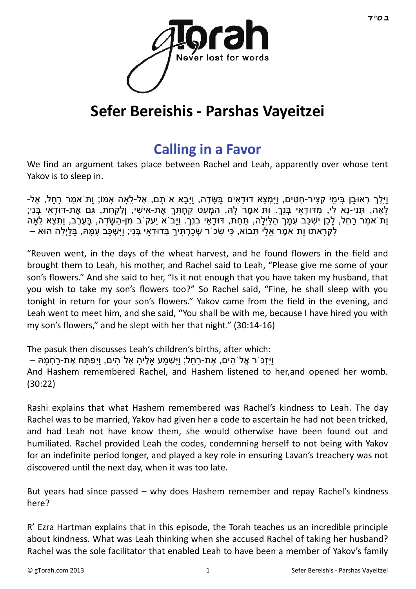

# **Sefer Bereishis - Parshas Vayeitzei**

## **[Calling in a Favor](http://gtorah.com/2011/11/29/the-perfect-favour/)**

We find an argument takes place between Rachel and Leah, apparently over whose tent Yakov is to sleep in.

ּוּילֵךְ רְאוּבַן בִּימִי קָצִיר-חָטִּים, ווּיִמְצָא דוּדַאים בַּשֶּׂדֶה, ווַיַּבַא אֹתֵם, אֶל-לֹאה אִמּוֹ; וִתֹּ אמֶר רַחל, אֶל-לֹאה, תָּנִי-נַא לִי, מִדּוּדָאִי בְּנַךְ. וִתֹּ אִמֶר לִהּ, הֹמְעט קַחְתְּךָ אֶת-אִישִׁי, וְלַקְחַת, גַּם אֶת-דּוּדַאִי בְּנִי; ּוֹתֹּ אמֶר רַחל, לַכן יִשְׁכַּב עִמַּךְ הלִיְלַה, תַּחת, דּוּדַאי בְנִךְ. ויַּב<sup>ְי</sup>א יִעֵק<sup>ְי</sup>ב מַן-הַשֶּׂדֶה, בַּעֶרֶב, ותִּצא לֹאה לִקְרָאתוֹ וַת<sup>ִּ</sup> אמֶר אֵלַי תָּבוֹא, כִּי שָׂכ<sup>ֹ</sup>ר שְׂכַרְתִּיךָ בְּדוּדָאֵי בְּנִי; וַיִּשְׁכַּב עִמָּהּ, בַּלַּיְלָה הוּא –

"Reuven went, in the days of the wheat harvest, and he found flowers in the field and brought them to Leah, his mother, and Rachel said to Leah, "Please give me some of your son's flowers." And she said to her, "Is it not enough that you have taken my husband, that you wish to take my son's flowers too?" So Rachel said, "Fine, he shall sleep with you tonight in return for your son's flowers." Yakov came from the field in the evening, and Leah went to meet him, and she said, "You shall be with me, because I have hired you with my son's flowers," and he slept with her that night." (30:14-16)

The pasuk then discusses Leah's children's births, after which: וַיִּזְכֹּ`ר אֱלֹ`הים, אֶת-רַחל; וַיִּשְׁמַע אלֵיהַ אֱלֹ`הים, וַיִּפְתַּח אֶת-רַחְמַה – And Hashem remembered Rachel, and Hashem listened to her,and opened her womb. (30:22)

Rashi explains that what Hashem remembered was Rachel's kindness to Leah. The day Rachel was to be married, Yakov had given her a code to ascertain he had not been tricked, and had Leah not have know them, she would otherwise have been found out and humiliated. Rachel provided Leah the codes, condemning herself to not being with Yakov for an indefinite period longer, and played a key role in ensuring Lavan's treachery was not discovered until the next day, when it was too late.

But years had since passed – why does Hashem remember and repay Rachel's kindness here?

R' Ezra Hartman explains that in this episode, the Torah teaches us an incredible principle about kindness. What was Leah thinking when she accused Rachel of taking her husband? Rachel was the sole facilitator that enabled Leah to have been a member of Yakov's family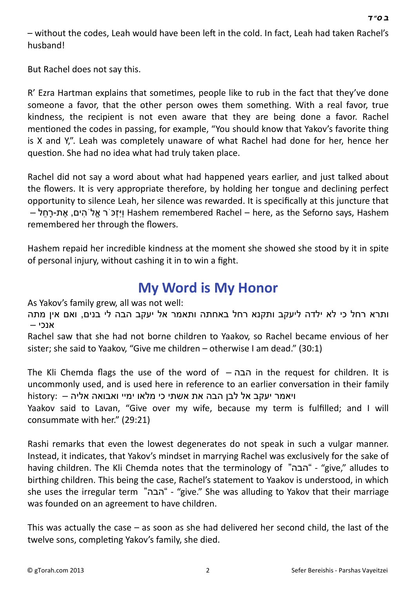– without the codes, Leah would have been left in the cold. In fact, Leah had taken Rachel's husband!

But Rachel does not say this.

R' Ezra Hartman explains that sometimes, people like to rub in the fact that they've done someone a favor, that the other person owes them something. With a real favor, true kindness, the recipient is not even aware that they are being done a favor. Rachel mentioned the codes in passing, for example, "You should know that Yakov's favorite thing is X and Y,". Leah was completely unaware of what Rachel had done for her, hence her question. She had no idea what had truly taken place.

Rachel did not say a word about what had happened years earlier, and just talked about the flowers. It is very appropriate therefore, by holding her tongue and declining perfect opportunity to silence Leah, her silence was rewarded. It is specifically at this juncture that – Hashem remembered Rachel – here, as the Seforno says, Hashem ויַזְכֹּר אֱלֹהִים, אֶת-רַחֹל – remembered her through the flowers.

Hashem repaid her incredible kindness at the moment she showed she stood by it in spite of personal injury, without cashing it in to win a fight.

### **[My Word is My Honor](http://gtorah.com/2010/11/10/give/)**

As Yakov's family grew, all was not well:

ותרא רחל כי לא ילדה ליעקב ותקנא רחל באחתה ותאמר אל יעקב הבה לי בנים, ואם אין מתה אנכי –

Rachel saw that she had not borne children to Yaakov, so Rachel became envious of her sister; she said to Yaakov, "Give me children – otherwise I am dead." (30:1)

The Kli Chemda flags the use of the word of – הבה in the request for children. It is uncommonly used, and is used here in reference to an earlier conversation in their family ויאמר יעקב אל לבן הבה את אשתי כי מלאו ימיי ואבואה אליה – :history

Yaakov said to Lavan, "Give over my wife, because my term is fulfilled; and I will consummate with her." (29:21)

Rashi remarks that even the lowest degenerates do not speak in such a vulgar manner. Instead, it indicates, that Yakov's mindset in marrying Rachel was exclusively for the sake of having children. The Kli Chemda notes that the terminology of "הבה" - "give," alludes to birthing children. This being the case, Rachel's statement to Yaakov is understood, in which she uses the irregular term "הבה "-" give." She was alluding to Yakov that their marriage was founded on an agreement to have children.

This was actually the case  $-$  as soon as she had delivered her second child, the last of the twelve sons, completing Yakov's family, she died.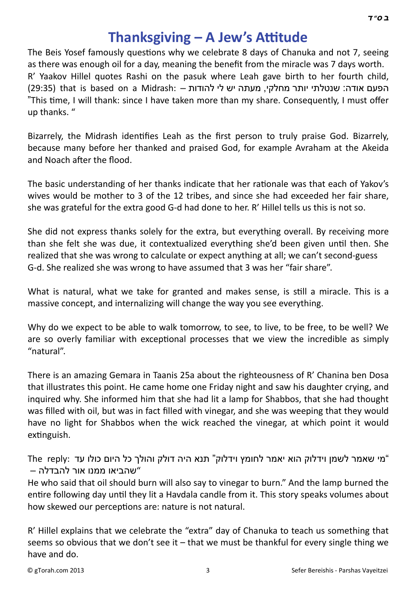## **[Thanksgiving – A Jew's A](http://gtorah.com/2009/12/07/being-thankful-for-what/)ƫtude**

The Beis Yosef famously questions why we celebrate 8 days of Chanuka and not 7, seeing as there was enough oil for a day, meaning the benefit from the miracle was 7 days worth. R' Yaakov Hillel quotes Rashi on the pasuk where Leah gave birth to her fourth child, הפעם אודה: שנטלתי יותר מחלקי, מעתה יש לי להודות – :29:35) that is based on a Midrash (29:35) "This time, I will thank: since I have taken more than my share. Consequently, I must offer up thanks. "

Bizarrely, the Midrash identifies Leah as the first person to truly praise God. Bizarrely, because many before her thanked and praised God, for example Avraham at the Akeida and Noach after the flood.

The basic understanding of her thanks indicate that her rationale was that each of Yakov's wives would be mother to 3 of the 12 tribes, and since she had exceeded her fair share, she was grateful for the extra good G-d had done to her. R' Hillel tells us this is not so.

She did not express thanks solely for the extra, but everything overall. By receiving more than she felt she was due, it contextualized everything she'd been given until then. She realized that she was wrong to calculate or expect anything at all; we can't second-guess G-d. She realized she was wrong to have assumed that 3 was her "fair share".

What is natural, what we take for granted and makes sense, is still a miracle. This is a massive concept, and internalizing will change the way you see everything.

Why do we expect to be able to walk tomorrow, to see, to live, to be free, to be well? We are so overly familiar with exceptional processes that we view the incredible as simply "natural".

There is an amazing Gemara in Taanis 25a about the righteousness of R' Chanina ben Dosa that illustrates this point. He came home one Friday night and saw his daughter crying, and inquired why. She informed him that she had lit a lamp for Shabbos, that she had thought was filled with oil, but was in fact filled with vinegar, and she was weeping that they would have no light for Shabbos when the wick reached the vinegar, at which point it would extinguish.

"מי שאמר לשמן וידלוק הוא יאמר לחומץ וידלוק" תנא היה דולק והולך כל היום כולו עד :reply The "שהביאו ממנו אור להבדלה –

He who said that oil should burn will also say to vinegar to burn." And the lamp burned the entire following day until they lit a Havdala candle from it. This story speaks volumes about how skewed our perceptions are: nature is not natural.

R' Hillel explains that we celebrate the "extra" day of Chanuka to teach us something that seems so obvious that we don't see it  $-$  that we must be thankful for every single thing we have and do.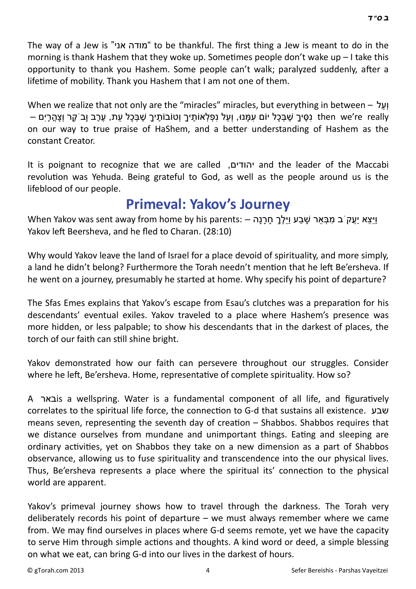The way of a Jew is "מודה אני" to be thankful. The first thing a Jew is meant to do in the

 *[ב](http://en.wikipedia.org/wiki/Bet_%28letter%29) [ס](http://en.wikipedia.org/wiki/Samekh)" [ד](http://en.wikipedia.org/wiki/Dalet)*

morning is thank Hashem that they woke up. Sometimes people don't wake up  $-1$  take this opportunity to thank you Hashem. Some people can't walk; paralyzed suddenly, after a lifetime of mobility. Thank you Hashem that I am not one of them.

When we realize that not only are the "miracles" miracles, but everything in between – ועל then we're really נַסֵּיךָ שֶׁבְּכָל יוֹם עַמֲנוּ, וְעַל נִפְלְאוֹתֵיךָ וְטוֹבוֹתֵיךָ שֶׁבְּכָל עֶת, עֶרֶב וַבֹקֶר וְצָהֶרָיִם – on our way to true praise of HaShem, and a better understanding of Hashem as the constant Creator.

It is poignant to recognize that we are called ,יהודים and the leader of the Maccabi revolution was Yehuda. Being grateful to God, as well as the people around us is the lifeblood of our people.

#### **[Primeval: Yakov's Journey](http://gtorah.com/2009/11/26/yakovs-journey/)**

וויצא יעק ב מבאר שבע וילך חרנה – :When Yakov was sent away from home by his parents וויצא יעק ב Yakov left Beersheva, and he fled to Charan. (28:10)

Why would Yakov leave the land of Israel for a place devoid of spirituality, and more simply, a land he didn't belong? Furthermore the Torah needn't mention that he left Be'ersheva. If he went on a journey, presumably he started at home. Why specify his point of departure?

The Sfas Emes explains that Yakov's escape from Esau's clutches was a preparation for his descendants' eventual exiles. Yakov traveled to a place where Hashem's presence was more hidden, or less palpable; to show his descendants that in the darkest of places, the torch of our faith can still shine bright.

Yakov demonstrated how our faith can persevere throughout our struggles. Consider where he left, Be'ersheva. Home, representative of complete spirituality. How so?

A באר is a wellspring. Water is a fundamental component of all life, and figuratively correlates to the spiritual life force, the connecƟon to G-d that sustains all existence. שבע means seven, representing the seventh day of creation  $-$  Shabbos. Shabbos requires that we distance ourselves from mundane and unimportant things. Eating and sleeping are ordinary activities, yet on Shabbos they take on a new dimension as a part of Shabbos observance, allowing us to fuse spirituality and transcendence into the our physical lives. Thus, Be'ersheva represents a place where the spiritual its' connection to the physical world are apparent.

Yakov's primeval journey shows how to travel through the darkness. The Torah very deliberately records his point of departure – we must always remember where we came from. We may find ourselves in places where G-d seems remote, yet we have the capacity to serve Him through simple actions and thoughts. A kind word or deed, a simple blessing on what we eat, can bring G-d into our lives in the darkest of hours.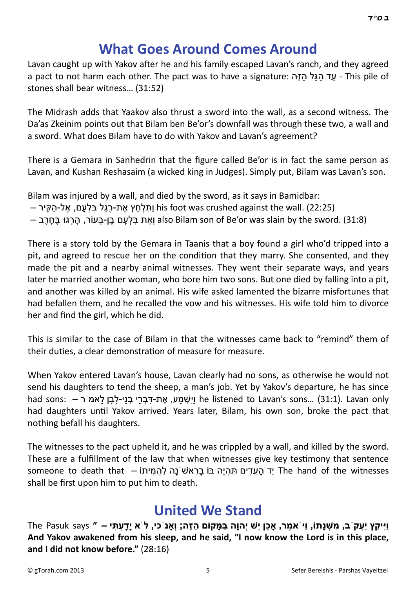## **[What Goes Around Comes Around](http://gtorah.com/2009/11/26/what-goes-around/)**

Lavan caught up with Yakov after he and his family escaped Lavan's ranch, and they agreed a pact to not harm each other. The pact was to have a signature: - עד הגל הזה - This pile of stones shall bear witness… (31:52)

The Midrash adds that Yaakov also thrust a sword into the wall, as a second witness. The Da'as Zkeinim points out that Bilam ben Be'or's downfall was through these two, a wall and a sword. What does Bilam have to do with Yakov and Lavan's agreement?

There is a Gemara in Sanhedrin that the figure called Be'or is in fact the same person as Lavan, and Kushan Reshasaim (a wicked king in Judges). Simply put, Bilam was Lavan's son.

Bilam was injured by a wall, and died by the sword, as it says in Bamidbar:

- הַלְחַץ אֶת-רֶגֶל בּלְעַם, אֵל-הַקִּיר his foot was crushed against the wall. (22:25)
- הֵרְגוּ בֵּחְרֶב (31:8) also Bilam son of Be'or was slain by the sword. (31:8)

There is a story told by the Gemara in Taanis that a boy found a girl who'd tripped into a pit, and agreed to rescue her on the condition that they marry. She consented, and they made the pit and a nearby animal witnesses. They went their separate ways, and years later he married another woman, who bore him two sons. But one died by falling into a pit, and another was killed by an animal. His wife asked lamented the bizarre misfortunes that had befallen them, and he recalled the vow and his witnesses. His wife told him to divorce her and find the girl, which he did.

This is similar to the case of Bilam in that the witnesses came back to "remind" them of their duties, a clear demonstration of measure for measure.

When Yakov entered Lavan's house, Lavan clearly had no sons, as otherwise he would not send his daughters to tend the sheep, a man's job. Yet by Yakov's departure, he has since had sons: – בְּרִי בְנִי-לָבַן לֹאמ<sup>ּיָ</sup>ר he listened to Lavan's sons... (31:1). Lavan only had daughters until Yakov arrived. Years later, Bilam, his own son, broke the pact that nothing befall his daughters.

The witnesses to the pact upheld it, and he was crippled by a wall, and killed by the sword. These are a fulfillment of the law that when witnesses give key testimony that sentence someone to death that – יִד הַעדים תּהָיֶה בּוֹ בַרִאשׁ נַה להֲמִיתוֹ The hand of the witnesses shall be first upon him to put him to death.

## **[United We Stand](http://gtorah.com/2009/11/24/united-we-stand/)**

The Pasuk says " – יַױַקַץ יַעֲק ב, מִשְׁנָתוֹ, וַי אמֶר, אָכֵן יֵשׁ יְהוָה בַּמָּקוֹם הַזֶּה; וְאָנ כִי, ל ֹא יַדַעִתִּי **And Yakov awakened from his sleep, and he said, "I now know the Lord is in this place, and I did not know before."** (28:16)